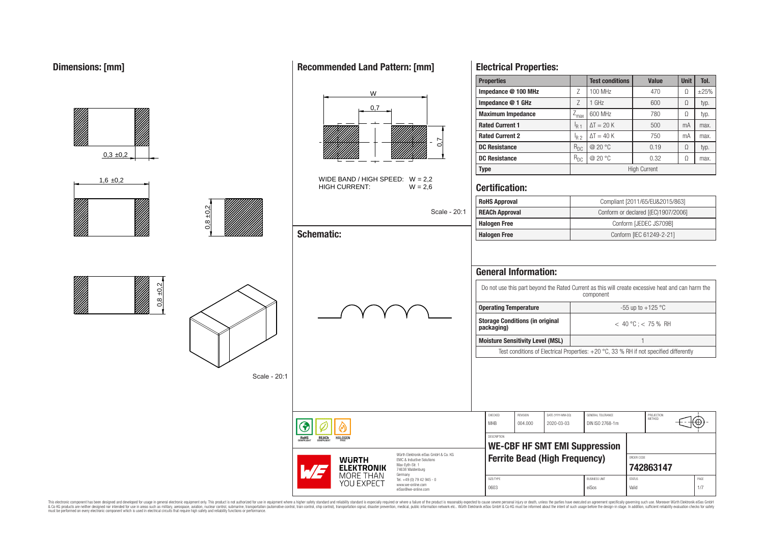|                  |               |                                                                                                                           |                                                                                                                                                                                               | <b>Properties</b>                                                                                                                                                                                                                                                                                                                                             |                                 | <b>Test conditions</b>                                                | <b>Value</b>                                                              | <b>Unit</b> | Tol.               |
|------------------|---------------|---------------------------------------------------------------------------------------------------------------------------|-----------------------------------------------------------------------------------------------------------------------------------------------------------------------------------------------|---------------------------------------------------------------------------------------------------------------------------------------------------------------------------------------------------------------------------------------------------------------------------------------------------------------------------------------------------------------|---------------------------------|-----------------------------------------------------------------------|---------------------------------------------------------------------------|-------------|--------------------|
|                  |               | W                                                                                                                         |                                                                                                                                                                                               | Impedance @ 100 MHz                                                                                                                                                                                                                                                                                                                                           | Ζ                               | 100 MHz                                                               | 470                                                                       | $\Omega$    | $\pm 25%$          |
|                  |               | 0,7                                                                                                                       |                                                                                                                                                                                               | Impedance @ 1 GHz                                                                                                                                                                                                                                                                                                                                             | $\ensuremath{\mathsf{Z}}$       | 1 GHz                                                                 | 600                                                                       | $\Omega$    | typ.               |
|                  |               |                                                                                                                           |                                                                                                                                                                                               | <b>Maximum Impedance</b>                                                                                                                                                                                                                                                                                                                                      | $Z_{\text{max}}$                | 600 MHz                                                               | 780                                                                       | $\Omega$    | typ.               |
|                  |               |                                                                                                                           |                                                                                                                                                                                               | <b>Rated Current 1</b>                                                                                                                                                                                                                                                                                                                                        | $I_{R1}$                        | $\Delta T = 20 K$                                                     | 500                                                                       | mA          | max.               |
|                  |               |                                                                                                                           | ∼                                                                                                                                                                                             | <b>Rated Current 2</b>                                                                                                                                                                                                                                                                                                                                        | $I_{R2}$                        | $\Delta T = 40 K$                                                     | 750                                                                       | mA          | max.               |
|                  |               |                                                                                                                           | Ö                                                                                                                                                                                             | <b>DC Resistance</b>                                                                                                                                                                                                                                                                                                                                          | $R_{DC}$                        | @ 20 °C                                                               | 0.19                                                                      | $\Omega$    | typ.               |
| $0,3 \pm 0,2$    |               |                                                                                                                           |                                                                                                                                                                                               | <b>DC Resistance</b>                                                                                                                                                                                                                                                                                                                                          | $R_{DC}$                        | @ 20 °C                                                               | 0.32                                                                      | $\Omega$    | max.               |
|                  |               |                                                                                                                           |                                                                                                                                                                                               | <b>Type</b>                                                                                                                                                                                                                                                                                                                                                   |                                 |                                                                       | <b>High Current</b>                                                       |             |                    |
| $1,6 \pm 0,2$    |               | WIDE BAND / HIGH SPEED: $W = 2,2$<br><b>HIGH CURRENT:</b>                                                                 | $W = 2.6$                                                                                                                                                                                     | <b>Certification:</b>                                                                                                                                                                                                                                                                                                                                         |                                 |                                                                       |                                                                           |             |                    |
|                  |               |                                                                                                                           |                                                                                                                                                                                               | <b>RoHS Approval</b>                                                                                                                                                                                                                                                                                                                                          |                                 |                                                                       | Compliant [2011/65/EU&2015/863]                                           |             |                    |
|                  | $\frac{2}{3}$ |                                                                                                                           | Scale - 20:1                                                                                                                                                                                  | <b>REACh Approval</b>                                                                                                                                                                                                                                                                                                                                         |                                 |                                                                       | Conform or declared [(EC)1907/2006]                                       |             |                    |
|                  | $\frac{8}{2}$ |                                                                                                                           |                                                                                                                                                                                               | <b>Halogen Free</b>                                                                                                                                                                                                                                                                                                                                           |                                 |                                                                       | Conform [JEDEC JS709B]                                                    |             |                    |
|                  |               | <b>Schematic:</b>                                                                                                         |                                                                                                                                                                                               | <b>Halogen Free</b>                                                                                                                                                                                                                                                                                                                                           |                                 |                                                                       | Conform [IEC 61249-2-21]                                                  |             |                    |
| $\pm 0.2$<br>0,8 | Scale - 20:1  |                                                                                                                           |                                                                                                                                                                                               | <b>General Information:</b><br>Do not use this part beyond the Rated Current as this will create excessive heat and can harm the<br><b>Operating Temperature</b><br><b>Storage Conditions (in original</b><br>packaging)<br><b>Moisture Sensitivity Level (MSL)</b><br>Test conditions of Electrical Properties: +20 °C, 33 % RH if not specified differently |                                 | component                                                             | -55 up to +125 $^{\circ}$ C<br>$< 40 °C$ ; < 75 % RH                      |             |                    |
|                  |               | ◈<br><b>ROHS</b><br><b>REACh</b><br><b>HALOGEN</b><br><b>WURTH</b><br><b>ELEKTRONIK</b><br><b>MORE THAN</b><br>YOU EXPECT | Würth Elektronik eiSos GmbH & Co. KG<br>EMC & Inductive Solutions<br>Max-Eyth-Str. 1<br>74638 Waldenburg<br>Germany<br>Tel. +49 (0) 79 42 945 - 0<br>www.we-online.com<br>eiSos@we-online.com | CHECKED<br>REVISION<br><b>MHB</b><br>004.000<br>DESCRIPTION<br><b>WE-CBF HF SMT EMI Suppression</b><br><b>Ferrite Bead (High Frequency)</b><br>SIZE/TYPE<br>0603                                                                                                                                                                                              | DATE (YYYY-MM-DD)<br>2020-03-03 | GENERAL TOLERANCE<br>DIN ISO 2768-1m<br><b>BUSINESS UNIT</b><br>eiSos | PROJECTION<br>METHOD<br>ORDER CODE<br>742863147<br><b>STATUS</b><br>Valid |             | ⊕<br>PAGE<br>$1/7$ |

This electronic component has been designed and developed for usage in general electronic equipment only. This product is not authorized for subserved requipment where a higher selection equipment where a higher selection

## **Recommended Land Pattern: [mm]**

**Electrical Properties:**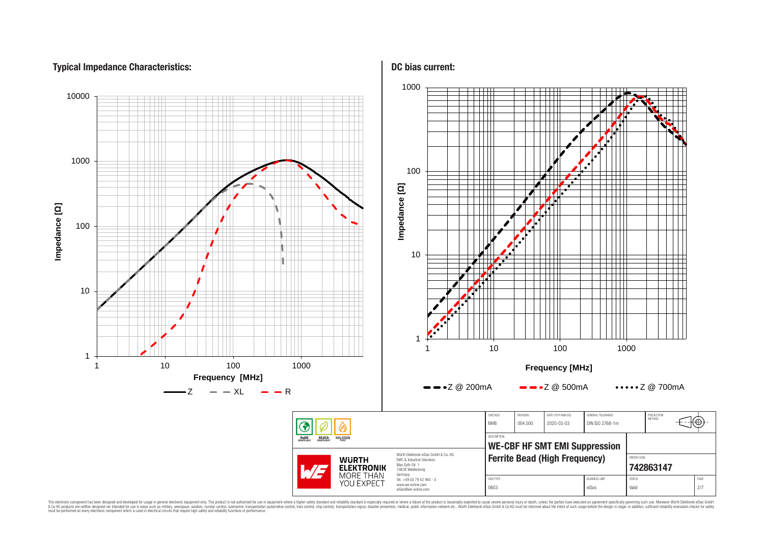## **Typical Impedance Characteristics:**



This electronic component has been designed and developed for usage in general electronic equipment only. This product is not authorized for use in equipment where a higher safely standard and reliability standard si espec & Ook product a label and the membed of the seasuch as marked and as which such a membed and the such assume that income in the seasuch and the simulation and the such assume that include to the such a membed and the such

## **DC bias current:**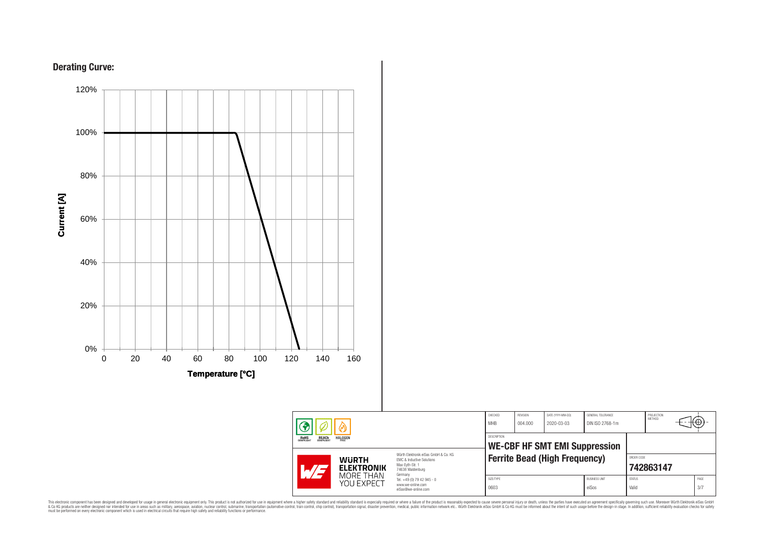





This electronic component has been designed and developed for usage in general electronic equipment only. This product is not authorized for subserved requipment where a higher selection equipment where a higher selection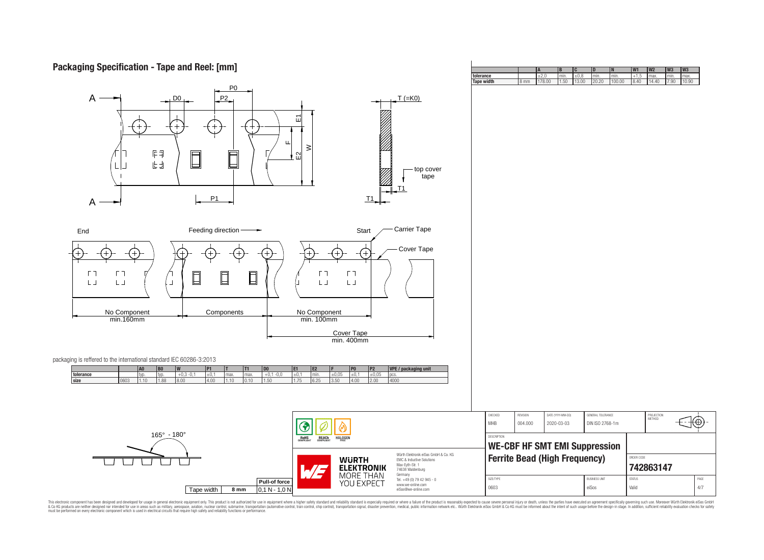## **Packaging Specification - Tape and Reel: [mm]**

| P <sub>0</sub><br>$\mathsf{A}$<br>P2<br>DO <sub>1</sub><br>ய<br>旧印<br>$\Box$<br>山<br>凷<br>P1<br>$\mathsf{A}$                                                                                                                                                                                                             | $T (=K0)$<br>꾄<br>$\geq$<br>$\Omega$<br>top cover<br>tape<br>T1<br>T1                                                                                                                                                                                                                                                                                                   |                                                                                                                                             |                                 |                                      |                                                 |   |             |
|--------------------------------------------------------------------------------------------------------------------------------------------------------------------------------------------------------------------------------------------------------------------------------------------------------------------------|-------------------------------------------------------------------------------------------------------------------------------------------------------------------------------------------------------------------------------------------------------------------------------------------------------------------------------------------------------------------------|---------------------------------------------------------------------------------------------------------------------------------------------|---------------------------------|--------------------------------------|-------------------------------------------------|---|-------------|
| Feeding direction-<br>End<br>→<br>$(+)$<br>$(+)$<br>$^{+}$<br>$^{+}$<br>$^{+}$<br>ГП<br>ГП<br>$\Box$<br>$\Box$<br>$\Box$<br>$\mathsf{L}\,\mathsf{J}$<br>$\mathsf{L}\,\mathsf{J}$<br>$\perp$<br>No Component<br>min.160mm<br>Components                                                                                   | Carrier Tape<br>Start<br>Cover Tape<br>$^{(+)}$<br>$^{+}$<br>$\Gamma$ T<br>$\Gamma$ $\bar{\Gamma}$<br>$\mathsf{L}\,\mathsf{J}$<br>$\mathsf{L}\,\mathsf{J}$<br>No Component<br>min. 100mm<br>Cover Tape<br>min.400mm                                                                                                                                                     |                                                                                                                                             |                                 |                                      |                                                 |   |             |
| packaging is reffered to the international standard IEC 60286-3:2013<br> D0 <br>A0<br>B <sub>0</sub><br><b>P1</b><br>T1<br>tolerance<br>$+0,3 -0,1$<br>$\pm 0.1$<br>$+0,1 -0,0$<br>typ.<br>typ.<br>max.<br>max.<br>size<br>0603<br>1.10<br>1.88<br>8.00<br>4.00<br>1.10<br> 0.10 <br>1.50<br>$165^{\circ} - 180^{\circ}$ | VPE / packaging unit<br>P <sub>2</sub><br>E <sub>2</sub><br>P <sub>0</sub><br>E1.<br>±0,05<br>±0,1<br>±0,05<br>±0,1<br>pcs.<br>min.<br>4000<br>1.75<br>6.25<br>3.50<br>4.00<br>2.00<br><b>REACH</b><br>COMPLIANT<br>ROHS<br><b>HALOGEN</b><br>Würth Elektronik eiSos GmbH & Co. KG<br><b>WURTH</b><br>EMC & Inductive Solutions<br>Max-Eyth-Str. 1<br><b>ELEKTRONIK</b> | CHECKED<br>REVISION<br><b>MHB</b><br>004.000<br>DESCRIPTION<br><b>WE-CBF HF SMT EMI Suppression</b><br><b>Ferrite Bead (High Frequency)</b> | DATE (YYYY-MM-DD)<br>2020-03-03 | GENERAL TOLERANCE<br>DIN ISO 2768-1m | PROJECTION<br>METHOD<br>ORDER CODE<br>742863147 | € |             |
| Pull-of force<br>Tape width<br>8 <sub>mm</sub><br>$0,1 N - 1,0 N$                                                                                                                                                                                                                                                        | W 5<br>74638 Waldenburg<br>MORE THAN<br>Germany<br>Tel. +49 (0) 79 42 945 - 0<br>YOU EXPECT<br>www.we-online.com<br>eiSos@we-online.com                                                                                                                                                                                                                                 | SIZE/TYPE<br>0603                                                                                                                           |                                 | <b>BUSINESS UNIT</b><br>eiSos        | $\text{STAT}\,\text{US}$<br>Valid               |   | PAGE<br>4/7 |

**A B C D N W1 W2 W3 W3**<br> $\pm 2.0$  **min.**  $\pm 0.8$  **min. min. +** 1,5 **max min. max min. 11,50 10**.<br>**178.00 1.50 13.00 20.20 100.00 8.40 14.40 7.90 10.8 tolerance** ±2,0 min. ±0,8 min. min. +1,5 max. min. max. **Tape width** 8 mm 178.00 1.50 13.00 20.20 100.00 8.40 14.40 7.90 10.90

This electronic component has been designed and developed for usage in general electronic equipment only. This product is not authorized for subserved requipment where a higher selection equipment where a higher selection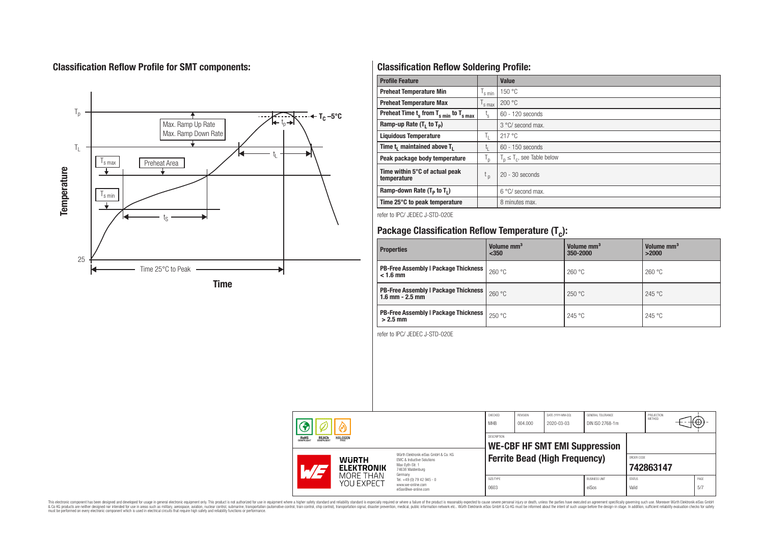## **Classification Reflow Profile for SMT components:**



## **Classification Reflow Soldering Profile:**

| <b>Profile Feature</b>                              |                           | Value                            |
|-----------------------------------------------------|---------------------------|----------------------------------|
| <b>Preheat Temperature Min</b>                      | s min                     | 150 °C                           |
| <b>Preheat Temperature Max</b>                      | <sup>I</sup> s max        | 200 °C                           |
| Preheat Time $t_s$ from $T_{s,min}$ to $T_{s,max}$  | $t_{\rm s}$               | $60 - 120$ seconds               |
| Ramp-up Rate $(T_1$ to $T_p$ )                      |                           | 3 °C/ second max.                |
| <b>Liquidous Temperature</b>                        | Ъ.                        | 217°C                            |
| Time t <sub>1</sub> maintained above T <sub>1</sub> | t,                        | $60 - 150$ seconds               |
| Peak package body temperature                       | $\mathsf{I}_{\mathsf{D}}$ | $T_p \leq T_c$ , see Table below |
| Time within 5°C of actual peak<br>temperature       | t <sub>p</sub>            | $20 - 30$ seconds                |
| Ramp-down Rate $(T_p$ to $T_1$ )                    |                           | 6 °C/ second max.                |
| Time 25°C to peak temperature                       |                           | 8 minutes max.                   |

refer to IPC/ JEDEC J-STD-020E

# **Package Classification Reflow Temperature (T<sup>c</sup> ):**

| <b>Properties</b>                                                    | Volume mm <sup>3</sup><br>$350$ | Volume mm <sup>3</sup><br>350-2000 | Volume mm <sup>3</sup><br>>2000 |  |
|----------------------------------------------------------------------|---------------------------------|------------------------------------|---------------------------------|--|
| PB-Free Assembly   Package Thickness  <br>$< 1.6$ mm                 | 260 °C                          | 260 °C                             | 260 °C                          |  |
| <b>PB-Free Assembly   Package Thickness  </b><br>$1.6$ mm $- 2.5$ mm | 260 °C                          | 250 °C                             | 245 °C                          |  |
| <b>PB-Free Assembly   Package Thickness  </b><br>$>2.5$ mm           | 250 °C                          | 245 °C                             | 245 °C                          |  |

refer to IPC/ JEDEC J-STD-020E

|                                                                         |                                   |                                                                                                                                | CHECKED<br><b>MHB</b> | REVISION<br>004.000 | DATE (YYYY-MM-DD)<br>2020-03-03      | GENERAL TOLERANCE<br>DIN ISO 2768-1m |                        | PROJECTION<br><b>METHOD</b> | €Θ          |
|-------------------------------------------------------------------------|-----------------------------------|--------------------------------------------------------------------------------------------------------------------------------|-----------------------|---------------------|--------------------------------------|--------------------------------------|------------------------|-----------------------------|-------------|
| <b>HALOGEN</b><br><b>ROHS</b><br>COMPLIANT<br><b>REACH</b><br>COMPLIANT |                                   | DESCRIPTION<br><b>WE-CBF HF SMT EMI Suppression</b>                                                                            |                       |                     |                                      |                                      |                        |                             |             |
| $\mathcal{A}/\mathcal{A}$                                               | <b>WURTH</b><br><b>ELEKTRONIK</b> | Würth Flektronik eiSos GmbH & Co. KG<br><b>FMC &amp; Inductive Solutions</b><br>Max-Evth-Str. 1<br>74638 Waldenburg<br>Germany |                       |                     | <b>Ferrite Bead (High Frequency)</b> |                                      | ORDER CODE             | 742863147                   |             |
|                                                                         | MORE THAN<br>YOU EXPECT           | Tel. +49 (0) 79 42 945 - 0<br>www.we-online.com<br>eiSos@we-online.com                                                         | SIZE/TYPE<br>0603     |                     |                                      | <b>BUSINESS UNIT</b><br>eiSos        | <b>STATUS</b><br>Valid |                             | PAGE<br>5/7 |

This electronic component has been designed and developed for usage in general electronic equipment only. This product is not authorized for subserved requipment where a higher selection equipment where a higher selection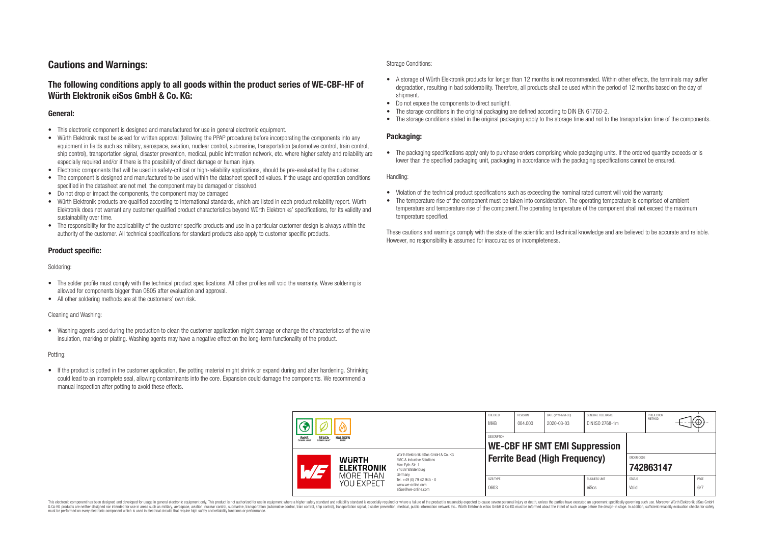## **Cautions and Warnings:**

## **The following conditions apply to all goods within the product series of WE-CBF-HF of Würth Elektronik eiSos GmbH & Co. KG:**

### **General:**

- This electronic component is designed and manufactured for use in general electronic equipment.
- Würth Elektronik must be asked for written approval (following the PPAP procedure) before incorporating the components into any equipment in fields such as military, aerospace, aviation, nuclear control, submarine, transportation (automotive control, train control, ship control), transportation signal, disaster prevention, medical, public information network, etc. where higher safety and reliability are especially required and/or if there is the possibility of direct damage or human injury.
- Electronic components that will be used in safety-critical or high-reliability applications, should be pre-evaluated by the customer.
- The component is designed and manufactured to be used within the datasheet specified values. If the usage and operation conditions specified in the datasheet are not met, the component may be damaged or dissolved.
- Do not drop or impact the components, the component may be damaged
- Würth Elektronik products are qualified according to international standards, which are listed in each product reliability report. Würth Elektronik does not warrant any customer qualified product characteristics beyond Würth Elektroniks' specifications, for its validity and sustainability over time.
- The responsibility for the applicability of the customer specific products and use in a particular customer design is always within the authority of the customer. All technical specifications for standard products also apply to customer specific products.

## **Product specific:**

Soldering:

- The solder profile must comply with the technical product specifications. All other profiles will void the warranty. Wave soldering is allowed for components bigger than 0805 after evaluation and approval.
- All other soldering methods are at the customers' own risk.

#### Cleaning and Washing:

• Washing agents used during the production to clean the customer application might damage or change the characteristics of the wire insulation, marking or plating. Washing agents may have a negative effect on the long-term functionality of the product.

#### Potting:

• If the product is potted in the customer application, the potting material might shrink or expand during and after hardening. Shrinking could lead to an incomplete seal, allowing contaminants into the core. Expansion could damage the components. We recommend a manual inspection after potting to avoid these effects.

#### Storage Conditions:

- A storage of Würth Elektronik products for longer than 12 months is not recommended. Within other effects, the terminals may suffer degradation, resulting in bad solderability. Therefore, all products shall be used within the period of 12 months based on the day of shipment.
- Do not expose the components to direct sunlight.
- The storage conditions in the original packaging are defined according to DIN EN 61760-2.
- The storage conditions stated in the original packaging apply to the storage time and not to the transportation time of the components.

### **Packaging:**

• The packaging specifications apply only to purchase orders comprising whole packaging units. If the ordered quantity exceeds or is lower than the specified packaging unit, packaging in accordance with the packaging specifications cannot be ensured.

Handling:

- Violation of the technical product specifications such as exceeding the nominal rated current will void the warranty.
- The temperature rise of the component must be taken into consideration. The operating temperature is comprised of ambient temperature and temperature rise of the component.The operating temperature of the component shall not exceed the maximum temperature specified.

These cautions and warnings comply with the state of the scientific and technical knowledge and are believed to be accurate and reliable. However, no responsibility is assumed for inaccuracies or incompleteness.

|  |                                                                  | CHECKED<br><b>MHB</b>             | REVISION<br>004.000                                                                                                 | DATE (YYYY-MM-DD)<br>2020-03-03      | GENERAL TOLERANCE<br>DIN ISO 2768-1m |  | PROJECTION<br><b>METHOD</b>   |                        | ₩                       |  |             |  |
|--|------------------------------------------------------------------|-----------------------------------|---------------------------------------------------------------------------------------------------------------------|--------------------------------------|--------------------------------------|--|-------------------------------|------------------------|-------------------------|--|-------------|--|
|  | <b>HALOGEN</b><br><b>REACH</b><br>COMPLIANT<br>ROHS<br>COMPLIANT |                                   | <b>DESCRIPTION</b><br><b>WE-CBF HF SMT EMI Suppression</b>                                                          |                                      |                                      |  |                               |                        |                         |  |             |  |
|  |                                                                  | <b>WURTH</b><br><b>ELEKTRONIK</b> | Würth Elektronik eiSos GmbH & Co. KG<br>EMC & Inductive Solutions<br>Max-Eyth-Str. 1<br>74638 Waldenburg<br>Germany | <b>Ferrite Bead (High Frequency)</b> |                                      |  |                               |                        | ORDER CODE<br>742863147 |  |             |  |
|  |                                                                  | MORF THAN<br>YOU EXPECT           | Tel. +49 (0) 79 42 945 - 0<br>www.we-online.com<br>eiSos@we-online.com                                              | SIZE/TYPE<br>0603                    |                                      |  | <b>BUSINESS UNIT</b><br>eiSos | <b>STATUS</b><br>Valid |                         |  | PAGE<br>6/7 |  |

This electronic component has been designed and developed for usage in general electronic equipment only. This product is not authorized for use in equipment where a higher safety standard and reliability standard is espec & Ook product a label and the membed of the seasuch as marked and as which such a membed and the such assume that income in the seasuch and the simulation and the such assume that include to the such a membed and the such